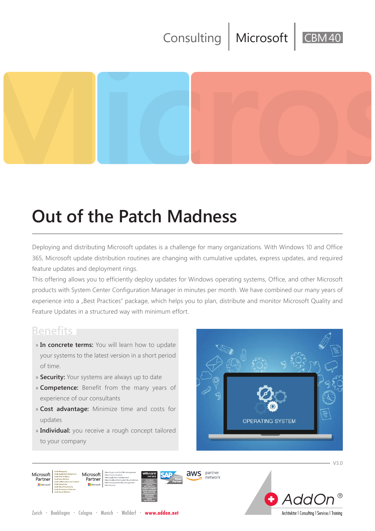## Consulting | Microsoft



# **Out of the Patch Madness**

Deploying and distributing Microsoft updates is a challenge for many organizations. With Windows 10 and Office 365, Microsoft update distribution routines are changing with cumulative updates, express updates, and required feature updates and deployment rings.

This offering allows you to efficiently deploy updates for Windows operating systems, Office, and other Microsoft products with System Center Configuration Manager in minutes per month. We have combined our many years of experience into a "Best Practices" package, which helps you to plan, distribute and monitor Microsoft Quality and Feature Updates in a structured way with minimum effort.

## **Benefits**

- » **In concrete terms:** You will learn how to update your systems to the latest version in a short period of time.
- » **Security:** Your systems are always up to date
- » **Competence:** Benefit from the many years of experience of our consultants
- » **Cost advantage:** Minimize time and costs for updates
- » **Individual:** you receive a rough concept tailored to your company







 $\cdot$  V30